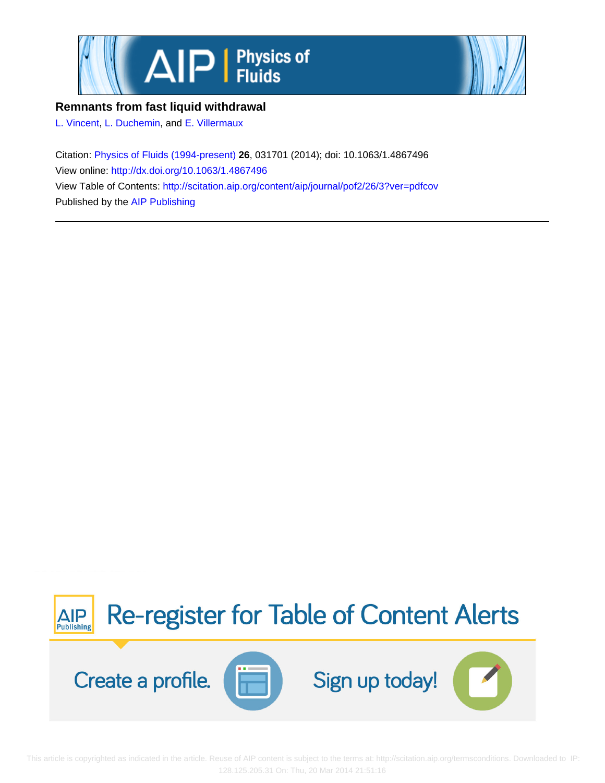



## **Remnants from fast liquid withdrawal**

[L. Vincent](http://scitation.aip.org/search?value1=L.+Vincent&option1=author), [L. Duchemin](http://scitation.aip.org/search?value1=L.+Duchemin&option1=author), and [E. Villermaux](http://scitation.aip.org/search?value1=E.+Villermaux&option1=author)

Citation: [Physics of Fluids \(1994-present\)](http://scitation.aip.org/content/aip/journal/pof2?ver=pdfcov) **26**, 031701 (2014); doi: 10.1063/1.4867496 View online: <http://dx.doi.org/10.1063/1.4867496> View Table of Contents: <http://scitation.aip.org/content/aip/journal/pof2/26/3?ver=pdfcov> Published by the [AIP Publishing](http://scitation.aip.org/content/aip?ver=pdfcov)



 This article is copyrighted as indicated in the article. Reuse of AIP content is subject to the terms at: http://scitation.aip.org/termsconditions. Downloaded to IP: 128.125.205.31 On: Thu, 20 Mar 2014 21:51:16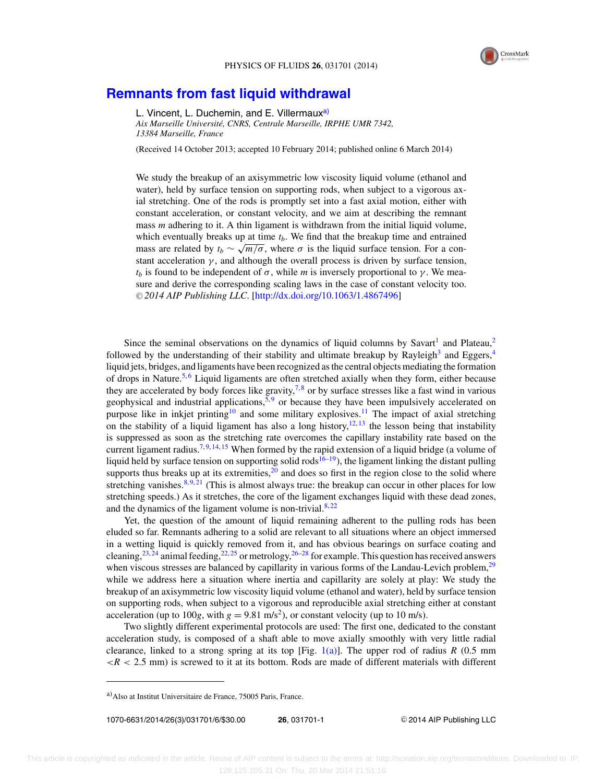

## **[Remnants from fast liquid withdrawal](http://dx.doi.org/10.1063/1.4867496)**

L. Vincent, L. Duchemin, and E. Villermaux<sup>a)</sup>

*Aix Marseille Universite, CNRS, Centrale Marseille, IRPHE UMR 7342, ´ 13384 Marseille, France*

(Received 14 October 2013; accepted 10 February 2014; published online 6 March 2014)

We study the breakup of an axisymmetric low viscosity liquid volume (ethanol and water), held by surface tension on supporting rods, when subject to a vigorous axial stretching. One of the rods is promptly set into a fast axial motion, either with constant acceleration, or constant velocity, and we aim at describing the remnant mass *m* adhering to it. A thin ligament is withdrawn from the initial liquid volume, which eventually breaks up at time  $t<sub>b</sub>$ . We find that the breakup time and entrained mass are related by  $t_b \sim \sqrt{m/\sigma}$ , where  $\sigma$  is the liquid surface tension. For a constant acceleration  $\gamma$ , and although the overall process is driven by surface tension, *t<sub>b</sub>* is found to be independent of  $\sigma$ , while *m* is inversely proportional to *γ*. We measure and derive the corresponding scaling laws in the case of constant velocity too. © 2014 AIP Publishing LLC. [\[http://dx.doi.org/10.1063/1.4867496\]](http://dx.doi.org/10.1063/1.4867496)

Since the seminal observations on the dynamics of liquid columns by Savart<sup>[1](#page-6-0)</sup> and Plateau,<sup>[2](#page-6-0)</sup> followed by the understanding of their stability and ultimate breakup by Rayleigh<sup>[3](#page-6-0)</sup> and Eggers,<sup>[4](#page-6-0)</sup> liquid jets, bridges, and ligaments have been recognized as the central objects mediating the formation of drops in Nature.<sup>[5,](#page-6-0)[6](#page-6-0)</sup> Liquid ligaments are often stretched axially when they form, either because they are accelerated by body forces like gravity,<sup>7,[8](#page-6-0)</sup> or by surface stresses like a fast wind in various geophysical and industrial applications,  $\frac{5}{9}$  $\frac{5}{9}$  $\frac{5}{9}$  or because they have been impulsively accelerated on purpose like in inkjet printing<sup>10</sup> and some military explosives.<sup>[11](#page-6-0)</sup> The impact of axial stretching on the stability of a liquid ligament has also a long history,  $12, 13$  $12, 13$  $12, 13$  the lesson being that instability is suppressed as soon as the stretching rate overcomes the capillary instability rate based on the current ligament radius.<sup>7, [9,](#page-6-0) [14,](#page-6-0) [15](#page-6-0)</sup> When formed by the rapid extension of a liquid bridge (a volume of liquid held by surface tension on supporting solid rods<sup>16–19</sup>), the ligament linking the distant pulling supports thus breaks up at its extremities, $2<sup>0</sup>$  and does so first in the region close to the solid where stretching vanishes. $8,9,21$  $8,9,21$  $8,9,21$  (This is almost always true: the breakup can occur in other places for low stretching speeds.) As it stretches, the core of the ligament exchanges liquid with these dead zones, and the dynamics of the ligament volume is non-trivial. $8,22$  $8,22$ 

Yet, the question of the amount of liquid remaining adherent to the pulling rods has been eluded so far. Remnants adhering to a solid are relevant to all situations where an object immersed in a wetting liquid is quickly removed from it, and has obvious bearings on surface coating and cleaning,<sup>[23,](#page-6-0) [24](#page-6-0)</sup> animal feeding,<sup>[22,](#page-6-0) [25](#page-6-0)</sup> or metrology,<sup>[26–28](#page-6-0)</sup> for example. This question has received answers when viscous stresses are balanced by capillarity in various forms of the Landau-Levich problem, $^{29}$ while we address here a situation where inertia and capillarity are solely at play: We study the breakup of an axisymmetric low viscosity liquid volume (ethanol and water), held by surface tension on supporting rods, when subject to a vigorous and reproducible axial stretching either at constant acceleration (up to 100*g*, with  $g = 9.81 \text{ m/s}^2$ ), or constant velocity (up to 10 m/s).

Two slightly different experimental protocols are used: The first one, dedicated to the constant acceleration study, is composed of a shaft able to move axially smoothly with very little radial clearance, linked to a strong spring at its top [Fig. [1\(a\)\]](#page-2-0). The upper rod of radius  $R$  (0.5 mm  $\langle R \rangle$  < 2.5 mm) is screwed to it at its bottom. Rods are made of different materials with different

1070-6631/2014/26(3)/031701/6/\$30.00 **26**, 031701-1 -

<sup>C</sup> 2014 AIP Publishing LLC

a)Also at Institut Universitaire de France, 75005 Paris, France.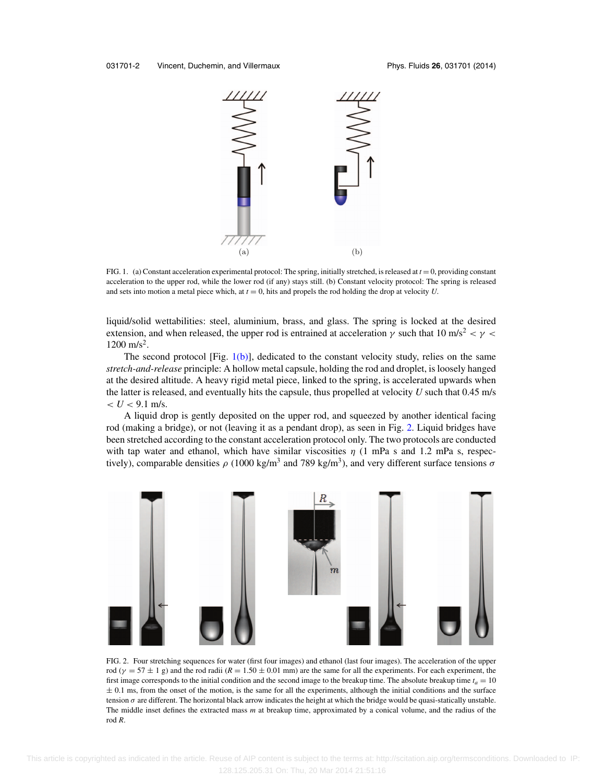<span id="page-2-0"></span>

FIG. 1. (a) Constant acceleration experimental protocol: The spring, initially stretched, is released at *t* = 0, providing constant acceleration to the upper rod, while the lower rod (if any) stays still. (b) Constant velocity protocol: The spring is released and sets into motion a metal piece which, at  $t = 0$ , hits and propels the rod holding the drop at velocity  $U$ .

liquid/solid wettabilities: steel, aluminium, brass, and glass. The spring is locked at the desired extension, and when released, the upper rod is entrained at acceleration  $\gamma$  such that 10 m/s<sup>2</sup> <  $\gamma$  <  $1200 \text{ m/s}^2$ .

The second protocol  $[Fig, 1(b)]$ , dedicated to the constant velocity study, relies on the same *stretch-and-release* principle: A hollow metal capsule, holding the rod and droplet, is loosely hanged at the desired altitude. A heavy rigid metal piece, linked to the spring, is accelerated upwards when the latter is released, and eventually hits the capsule, thus propelled at velocity *U* such that 0.45 m/s  $< U < 9.1$  m/s.

A liquid drop is gently deposited on the upper rod, and squeezed by another identical facing rod (making a bridge), or not (leaving it as a pendant drop), as seen in Fig. 2. Liquid bridges have been stretched according to the constant acceleration protocol only. The two protocols are conducted with tap water and ethanol, which have similar viscosities  $\eta$  (1 mPa s and 1.2 mPa s, respectively), comparable densities  $\rho$  (1000 kg/m<sup>3</sup> and 789 kg/m<sup>3</sup>), and very different surface tensions  $\sigma$ 



FIG. 2. Four stretching sequences for water (first four images) and ethanol (last four images). The acceleration of the upper rod ( $\gamma = 57 \pm 1$  g) and the rod radii ( $R = 1.50 \pm 0.01$  mm) are the same for all the experiments. For each experiment, the first image corresponds to the initial condition and the second image to the breakup time. The absolute breakup time  $t_a = 10$  $\pm$  0.1 ms, from the onset of the motion, is the same for all the experiments, although the initial conditions and the surface tension  $\sigma$  are different. The horizontal black arrow indicates the height at which the bridge would be quasi-statically unstable. The middle inset defines the extracted mass *m* at breakup time, approximated by a conical volume, and the radius of the rod *R*.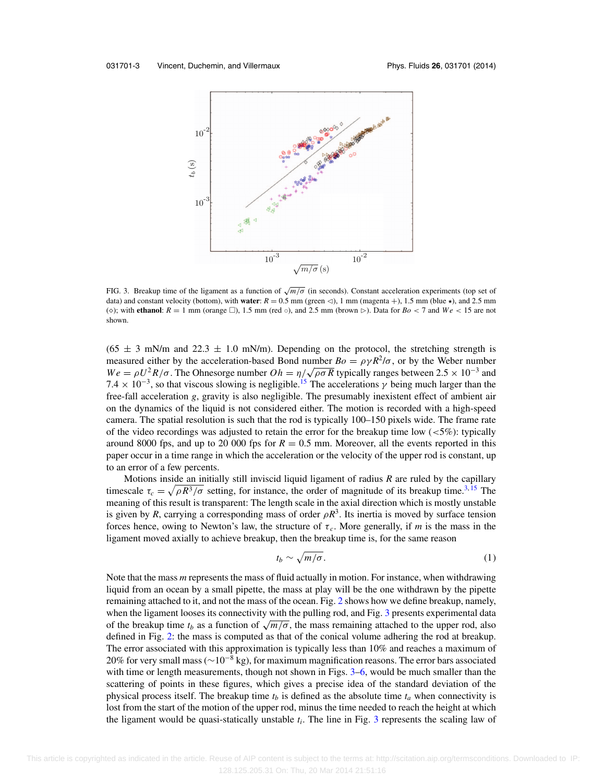<span id="page-3-0"></span>

FIG. 3. Breakup time of the ligament as a function of √*m*/σ (in seconds). Constant acceleration experiments (top set of data) and constant velocity (bottom), with **water**:  $R = 0.5$  mm (green  $\lhd$ ), 1 mm (magenta +), 1.5 mm (blue  $\star$ ), and 2.5 mm ( $\diamond$ ); with **ethanol**:  $R = 1$  mm (orange  $\square$ ), 1.5 mm (red  $\circ$ ), and 2.5 mm (brown  $\succ$ ). Data for  $Bo < 7$  and  $We < 15$  are not shown.

 $(65 \pm 3 \text{ mN/m}$  and  $22.3 \pm 1.0 \text{ mN/m}$ . Depending on the protocol, the stretching strength is measured either by the acceleration-based Bond number  $Bo = \rho \gamma R^2/\sigma$ , or by the Weber number  $We = \rho U^2 R / \sigma$ . The Ohnesorge number  $Oh = \eta / \sqrt{\rho \sigma R}$  typically ranges between 2.5 × 10<sup>-3</sup> and  $7.4 \times 10^{-3}$ , so that viscous slowing is negligible.<sup>15</sup> The accelerations  $\gamma$  being much larger than the free-fall acceleration *g*, gravity is also negligible. The presumably inexistent effect of ambient air on the dynamics of the liquid is not considered either. The motion is recorded with a high-speed camera. The spatial resolution is such that the rod is typically 100–150 pixels wide. The frame rate of the video recordings was adjusted to retain the error for the breakup time low  $(<5\%)$ : typically around 8000 fps, and up to 20 000 fps for  $R = 0.5$  mm. Moreover, all the events reported in this paper occur in a time range in which the acceleration or the velocity of the upper rod is constant, up to an error of a few percents.

Motions inside an initially still inviscid liquid ligament of radius *R* are ruled by the capillary timescale  $\tau_c = \sqrt{\rho R^3/\sigma}$  setting, for instance, the order of magnitude of its breakup time.<sup>[3,](#page-6-0) [15](#page-6-0)</sup> The meaning of this result is transparent: The length scale in the axial direction which is mostly unstable is given by *R*, carrying a corresponding mass of order  $\rho R^3$ . Its inertia is moved by surface tension forces hence, owing to Newton's law, the structure of  $\tau_c$ . More generally, if *m* is the mass in the ligament moved axially to achieve breakup, then the breakup time is, for the same reason

$$
t_b \sim \sqrt{m/\sigma}.\tag{1}
$$

Note that the mass *m* represents the mass of fluid actually in motion. For instance, when withdrawing liquid from an ocean by a small pipette, the mass at play will be the one withdrawn by the pipette remaining attached to it, and not the mass of the ocean. Fig. [2](#page-2-0) shows how we define breakup, namely, when the ligament looses its connectivity with the pulling rod, and Fig. 3 presents experimental data of the breakup time  $t_b$  as a function of  $\sqrt{m/\sigma}$ , the mass remaining attached to the upper rod, also defined in Fig. [2:](#page-2-0) the mass is computed as that of the conical volume adhering the rod at breakup. The error associated with this approximation is typically less than 10% and reaches a maximum of 20% for very small mass ( $\sim$ 10<sup>-8</sup> kg), for maximum magnification reasons. The error bars associated with time or length measurements, though not shown in Figs. 3[–6,](#page-5-0) would be much smaller than the scattering of points in these figures, which gives a precise idea of the standard deviation of the physical process itself. The breakup time  $t_b$  is defined as the absolute time  $t_a$  when connectivity is lost from the start of the motion of the upper rod, minus the time needed to reach the height at which the ligament would be quasi-statically unstable *ti*. The line in Fig. 3 represents the scaling law of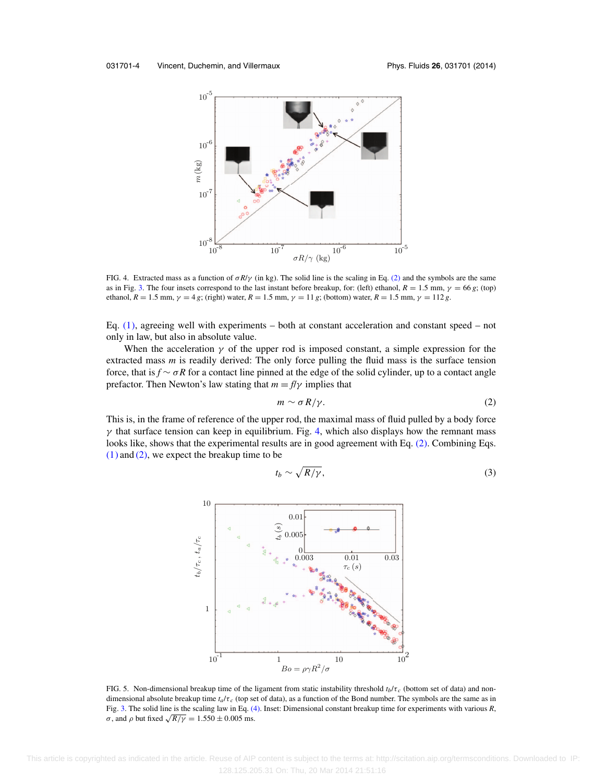<span id="page-4-0"></span>

FIG. 4. Extracted mass as a function of σ*R*/γ (in kg). The solid line is the scaling in Eq. (2) and the symbols are the same as in Fig. [3.](#page-3-0) The four insets correspond to the last instant before breakup, for: (left) ethanol,  $R = 1.5$  mm,  $\gamma = 66$  *g*; (top) ethanol,  $R = 1.5$  mm,  $\gamma = 4$  *g*; (right) water,  $R = 1.5$  mm,  $\gamma = 11$  *g*; (bottom) water,  $R = 1.5$  mm,  $\gamma = 112$  *g*.

Eq.  $(1)$ , agreeing well with experiments – both at constant acceleration and constant speed – not only in law, but also in absolute value.

When the acceleration  $\gamma$  of the upper rod is imposed constant, a simple expression for the extracted mass *m* is readily derived: The only force pulling the fluid mass is the surface tension force, that is *f* ∼ σ*R* for a contact line pinned at the edge of the solid cylinder, up to a contact angle prefactor. Then Newton's law stating that  $m = f/\gamma$  implies that

$$
m \sim \sigma R/\gamma. \tag{2}
$$

This is, in the frame of reference of the upper rod, the maximal mass of fluid pulled by a body force  $\gamma$  that surface tension can keep in equilibrium. Fig. 4, which also displays how the remnant mass looks like, shows that the experimental results are in good agreement with Eq. (2). Combining Eqs.  $(1)$  and  $(2)$ , we expect the breakup time to be

$$
t_b \sim \sqrt{R/\gamma},\tag{3}
$$



FIG. 5. Non-dimensional breakup time of the ligament from static instability threshold  $t_b/\tau_c$  (bottom set of data) and nondimensional absolute breakup time  $t_a/\tau_c$  (top set of data), as a function of the Bond number. The symbols are the same as in Fig. [3.](#page-3-0) The solid line is the scaling law in Eq. [\(4\).](#page-5-0) Inset: Dimensional constant breakup time for experiments with various *R*, σ, and *ρ* but fixed  $\sqrt{R/\gamma} = 1.550 \pm 0.005$  ms.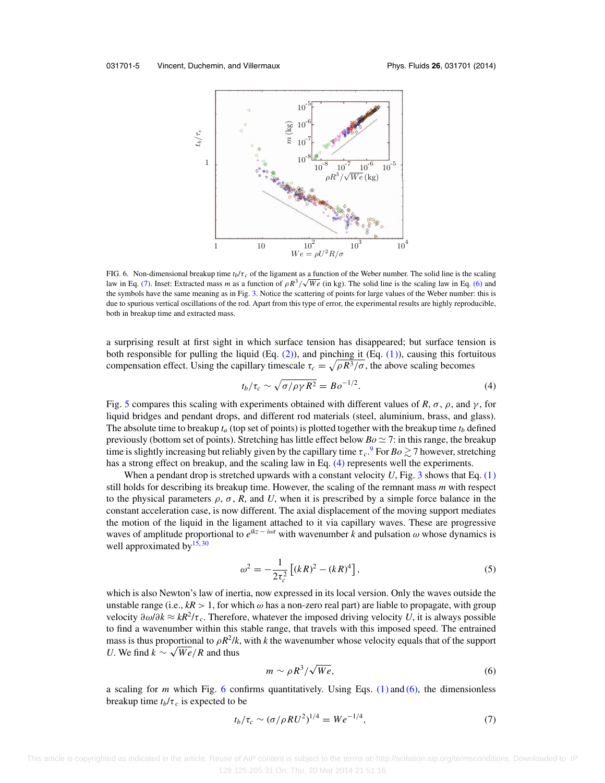<span id="page-5-0"></span>

FIG. 6. Non-dimensional breakup time  $t_b/\tau_c$  of the ligament as a function of the Weber number. The solid line is the scaling law in Eq. (7). Inset: Extracted mass *m* as a function of  $\rho R^3 / \sqrt{We}$  (in kg). The solid line is the scaling law in Eq. (6) and the symbols have the same meaning as in Fig. [3.](#page-3-0) Notice the scattering of points for large values of the Weber number: this is due to spurious vertical oscillations of the rod. Apart from this type of error, the experimental results are highly reproducible, both in breakup time and extracted mass.

a surprising result at first sight in which surface tension has disappeared; but surface tension is both responsible for pulling the liquid (Eq.  $(2)$ ), and pinching it (Eq.  $(1)$ ), causing this fortuitous compensation effect. Using the capillary timescale  $\tau_c = \sqrt{\rho R^3/\sigma}$ , the above scaling becomes

$$
t_b/\tau_c \sim \sqrt{\sigma/\rho \gamma R^2} = B o^{-1/2}.
$$
 (4)

Fig. [5](#page-4-0) compares this scaling with experiments obtained with different values of *R*,  $\sigma$ ,  $\rho$ , and  $\gamma$ , for liquid bridges and pendant drops, and different rod materials (steel, aluminium, brass, and glass). The absolute time to breakup  $t_a$  (top set of points) is plotted together with the breakup time  $t_b$  defined previously (bottom set of points). Stretching has little effect below  $Bo \simeq 7$ : in this range, the breakup time is slightly increasing but reliably given by the capillary time  $\tau_c$ .  $^9$  $^9$  For  $Bo \gtrsim 7$  however, stretching has a strong effect on breakup, and the scaling law in Eq. (4) represents well the experiments.

When a pendant drop is stretched upwards with a constant velocity U, Fig. [3](#page-3-0) shows that Eq. [\(1\)](#page-3-0) still holds for describing its breakup time. However, the scaling of the remnant mass *m* with respect to the physical parameters  $\rho$ ,  $\sigma$ , *R*, and *U*, when it is prescribed by a simple force balance in the constant acceleration case, is now different. The axial displacement of the moving support mediates the motion of the liquid in the ligament attached to it via capillary waves. These are progressive waves of amplitude proportional to  $e^{ikz - i\omega t}$  with wavenumber *k* and pulsation  $\omega$  whose dynamics is well approximated by  $15,30$  $15,30$ 

$$
\omega^2 = -\frac{1}{2\tau_c^2} \left[ (kR)^2 - (kR)^4 \right],\tag{5}
$$

which is also Newton's law of inertia, now expressed in its local version. Only the waves outside the unstable range (i.e.,  $kR > 1$ , for which  $\omega$  has a non-zero real part) are liable to propagate, with group velocity  $\partial \omega/\partial k ≈ kR^2/\tau_c$ . Therefore, whatever the imposed driving velocity *U*, it is always possible to find a wavenumber within this stable range, that travels with this imposed speed. The entrained mass is thus proportional to  $\rho R^2/k$ , with *k* the wavenumber whose velocity equals that of the support *U*. We find  $k \sim \sqrt{We/R}$  and thus

$$
m \sim \rho R^3 / \sqrt{We},\tag{6}
$$

a scaling for *m* which Fig. 6 confirms quantitatively. Using Eqs. [\(1\)](#page-3-0) and (6), the dimensionless breakup time  $t_b/\tau_c$  is expected to be

$$
t_b/\tau_c \sim (\sigma/\rho R U^2)^{1/4} = W e^{-1/4},\tag{7}
$$